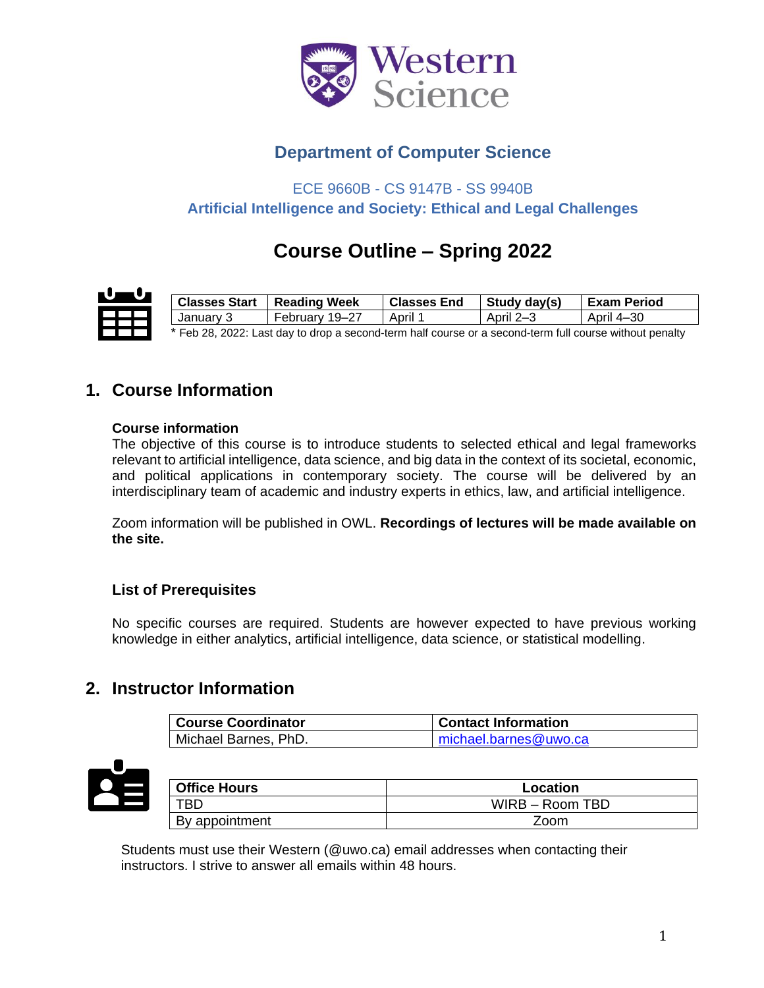

# **Department of Computer Science**

ECE 9660B - CS 9147B - SS 9940B **Artificial Intelligence and Society: Ethical and Legal Challenges**

# **Course Outline – Spring 2022**

| <b>Classes Start</b>                                                                                     | <b>Reading Week</b> | <b>Classes End</b> | Study day(s) | <b>Exam Period</b> |
|----------------------------------------------------------------------------------------------------------|---------------------|--------------------|--------------|--------------------|
| January 3                                                                                                | February 19–27      | April 1            | April 2–3    | April 4–30         |
| Feb 28, 2022; Last day to drop a second-term half course or a second-term full course without penalty. * |                     |                    |              |                    |

Feb 28, 2022: Last day to drop a second-term half course or a second-term full course without penalty

# **1. Course Information**

#### **Course information**

The objective of this course is to introduce students to selected ethical and legal frameworks relevant to artificial intelligence, data science, and big data in the context of its societal, economic, and political applications in contemporary society. The course will be delivered by an interdisciplinary team of academic and industry experts in ethics, law, and artificial intelligence.

Zoom information will be published in OWL. **Recordings of lectures will be made available on the site.**

### **List of Prerequisites**

No specific courses are required. Students are however expected to have previous working knowledge in either analytics, artificial intelligence, data science, or statistical modelling.

### **2. Instructor Information**

| <b>Course Coordinator</b> | <b>Contact Information</b> |
|---------------------------|----------------------------|
| Michael Barnes, PhD.      | michael.barnes@uwo.ca      |



| <b>Office Hours</b> | Location        |
|---------------------|-----------------|
| TBD                 | WIRB - Room TBD |
| By appointment      | Zoom            |

Students must use their Western (@uwo.ca) email addresses when contacting their instructors. I strive to answer all emails within 48 hours.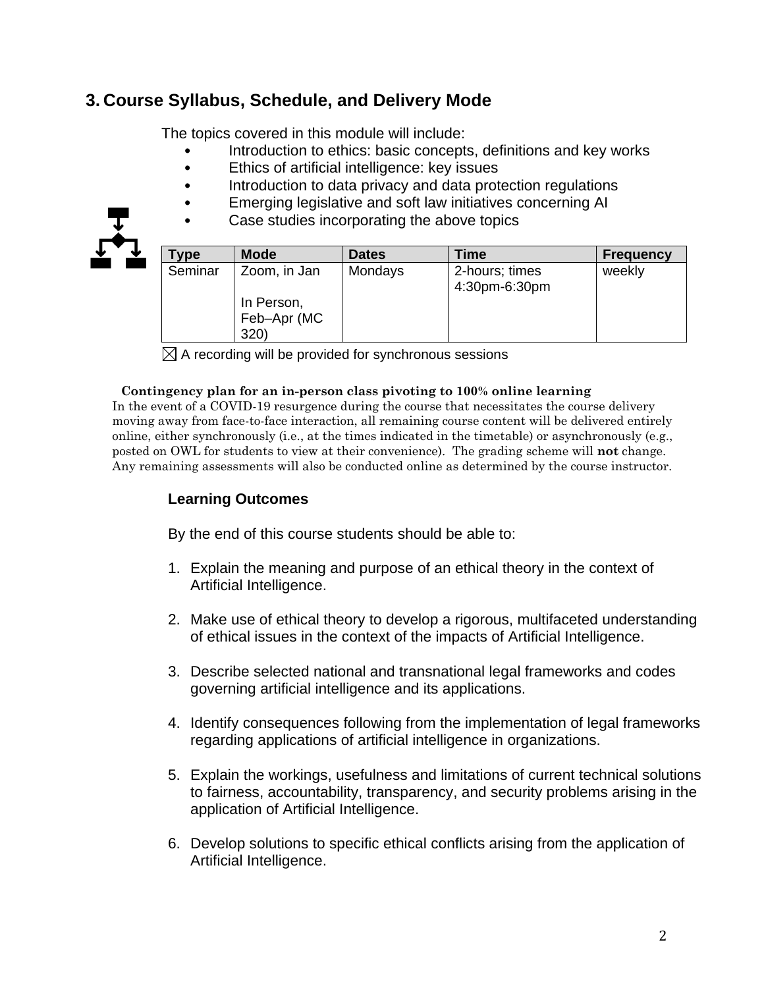# **3. Course Syllabus, Schedule, and Delivery Mode**

The topics covered in this module will include:

- Introduction to ethics: basic concepts, definitions and key works
- Ethics of artificial intelligence: key issues
- Introduction to data privacy and data protection regulations
- Emerging legislative and soft law initiatives concerning AI
- Case studies incorporating the above topics

| Type    | <b>Mode</b>                                       | <b>Dates</b> | Time                            | <b>Frequency</b> |
|---------|---------------------------------------------------|--------------|---------------------------------|------------------|
| Seminar | Zoom, in Jan<br>In Person,<br>Feb-Apr (MC<br>320) | Mondays      | 2-hours; times<br>4:30pm-6:30pm | weekly           |

 $\boxtimes$  A recording will be provided for synchronous sessions

#### **Contingency plan for an in-person class pivoting to 100% online learning**

In the event of a COVID-19 resurgence during the course that necessitates the course delivery moving away from face-to-face interaction, all remaining course content will be delivered entirely online, either synchronously (i.e., at the times indicated in the timetable) or asynchronously (e.g., posted on OWL for students to view at their convenience). The grading scheme will **not** change. Any remaining assessments will also be conducted online as determined by the course instructor.

### **Learning Outcomes**

By the end of this course students should be able to:

- 1. Explain the meaning and purpose of an ethical theory in the context of Artificial Intelligence.
- 2. Make use of ethical theory to develop a rigorous, multifaceted understanding of ethical issues in the context of the impacts of Artificial Intelligence.
- 3. Describe selected national and transnational legal frameworks and codes governing artificial intelligence and its applications.
- 4. Identify consequences following from the implementation of legal frameworks regarding applications of artificial intelligence in organizations.
- 5. Explain the workings, usefulness and limitations of current technical solutions to fairness, accountability, transparency, and security problems arising in the application of Artificial Intelligence.
- 6. Develop solutions to specific ethical conflicts arising from the application of Artificial Intelligence.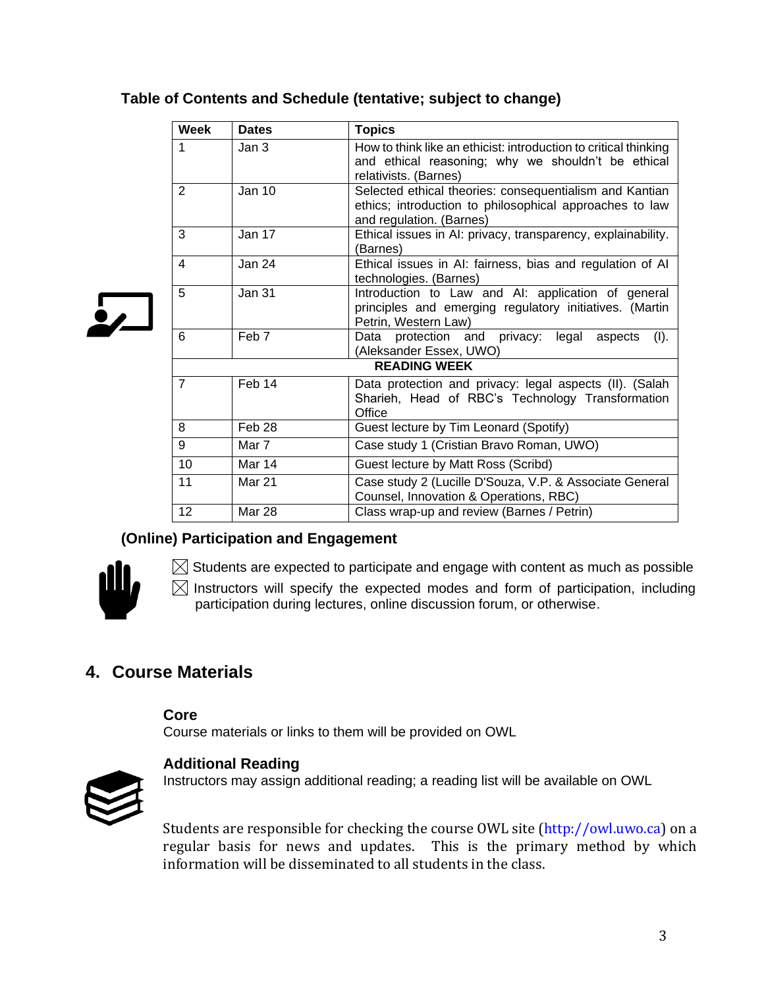### **Table of Contents and Schedule (tentative; subject to change)**

|              | <b>Week</b>         | <b>Dates</b>  | <b>Topics</b>                                                                                                                                   |  |
|--------------|---------------------|---------------|-------------------------------------------------------------------------------------------------------------------------------------------------|--|
|              | 1                   | Jan 3         | How to think like an ethicist: introduction to critical thinking<br>and ethical reasoning; why we shouldn't be ethical<br>relativists. (Barnes) |  |
|              | $\overline{2}$      | <b>Jan 10</b> | Selected ethical theories: consequentialism and Kantian<br>ethics; introduction to philosophical approaches to law<br>and regulation. (Barnes)  |  |
|              | 3                   | Jan 17        | Ethical issues in AI: privacy, transparency, explainability.<br>(Barnes)                                                                        |  |
| $\mathbf{v}$ | 4                   | Jan 24        | Ethical issues in AI: fairness, bias and regulation of AI<br>technologies. (Barnes)                                                             |  |
|              | 5                   | <b>Jan 31</b> | Introduction to Law and AI: application of general<br>principles and emerging regulatory initiatives. (Martin<br>Petrin, Western Law)           |  |
|              | 6                   | Feb 7         | protection and privacy:<br>(I).<br>Data<br>legal<br>aspects<br>(Aleksander Essex, UWO)                                                          |  |
|              | <b>READING WEEK</b> |               |                                                                                                                                                 |  |
|              | $\overline{7}$      | Feb 14        | Data protection and privacy: legal aspects (II). (Salah<br>Sharieh, Head of RBC's Technology Transformation<br>Office                           |  |
|              | 8                   | Feb 28        | Guest lecture by Tim Leonard (Spotify)                                                                                                          |  |
|              | 9                   | Mar 7         | Case study 1 (Cristian Bravo Roman, UWO)                                                                                                        |  |
|              | 10                  | Mar 14        | Guest lecture by Matt Ross (Scribd)                                                                                                             |  |
|              | 11                  | <b>Mar 21</b> | Case study 2 (Lucille D'Souza, V.P. & Associate General<br>Counsel, Innovation & Operations, RBC)                                               |  |
|              | 12                  | Mar 28        | Class wrap-up and review (Barnes / Petrin)                                                                                                      |  |

### **(Online) Participation and Engagement**



 $\boxtimes$  Students are expected to participate and engage with content as much as possible

 $\boxtimes$  Instructors will specify the expected modes and form of participation, including participation during lectures, online discussion forum, or otherwise.

# **4. Course Materials**

**Core**

Course materials or links to them will be provided on OWL



#### **Additional Reading**

Instructors may assign additional reading; a reading list will be available on OWL

Students are responsible for checking the course OWL site (http://owl.uwo.ca) on a regular basis for news and updates. This is the primary method by which information will be disseminated to all students in the class.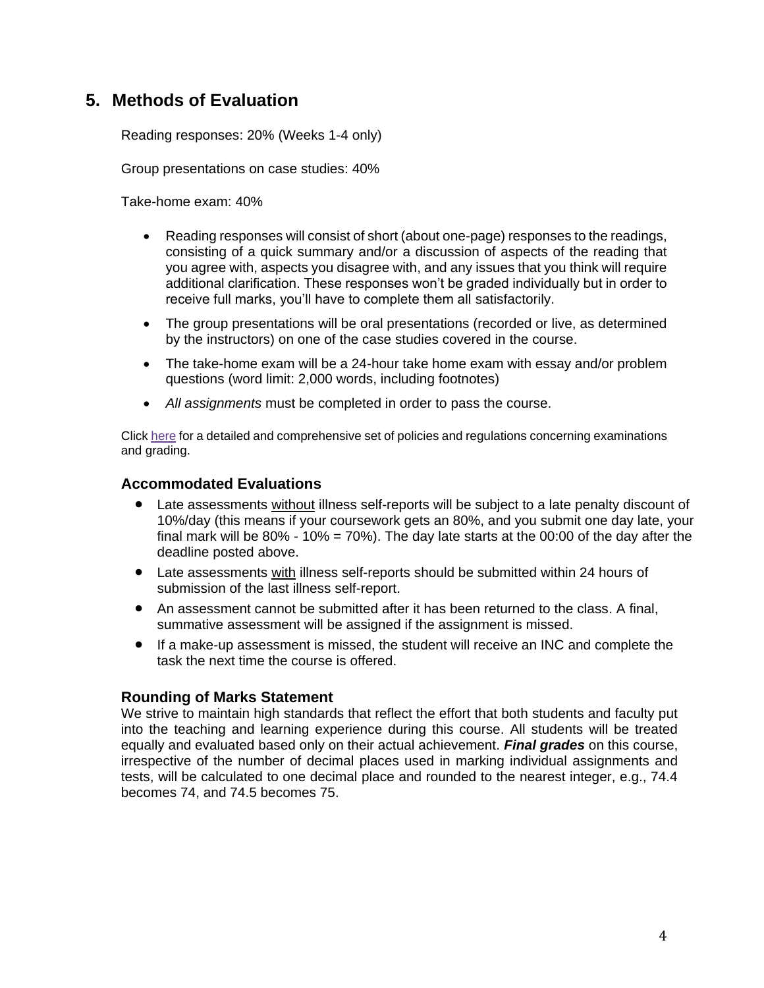# **5. Methods of Evaluation**

Reading responses: 20% (Weeks 1-4 only)

Group presentations on case studies: 40%

Take-home exam: 40%

- Reading responses will consist of short (about one-page) responses to the readings, consisting of a quick summary and/or a discussion of aspects of the reading that you agree with, aspects you disagree with, and any issues that you think will require additional clarification. These responses won't be graded individually but in order to receive full marks, you'll have to complete them all satisfactorily.
- The group presentations will be oral presentations (recorded or live, as determined by the instructors) on one of the case studies covered in the course.
- The take-home exam will be a 24-hour take home exam with essay and/or problem questions (word limit: 2,000 words, including footnotes)
- *All assignments* must be completed in order to pass the course.

Click [here](https://www.westerncalendar.uwo.ca/PolicyPages.cfm?Command=showCategory&PolicyCategoryID=5&SelectedCalendar=Live&ArchiveID=#SubHeading_73) for a detailed and comprehensive set of policies and regulations concerning examinations and grading.

### **Accommodated Evaluations**

- Late assessments without illness self-reports will be subject to a late penalty discount of 10%/day (this means if your coursework gets an 80%, and you submit one day late, your final mark will be  $80\%$  -  $10\%$  = 70%). The day late starts at the 00:00 of the day after the deadline posted above.
- Late assessments with illness self-reports should be submitted within 24 hours of submission of the last illness self-report.
- An assessment cannot be submitted after it has been returned to the class. A final, summative assessment will be assigned if the assignment is missed.
- If a make-up assessment is missed, the student will receive an INC and complete the task the next time the course is offered.

#### **Rounding of Marks Statement**

We strive to maintain high standards that reflect the effort that both students and faculty put into the teaching and learning experience during this course. All students will be treated equally and evaluated based only on their actual achievement. *Final grades* on this course, irrespective of the number of decimal places used in marking individual assignments and tests, will be calculated to one decimal place and rounded to the nearest integer, e.g., 74.4 becomes 74, and 74.5 becomes 75.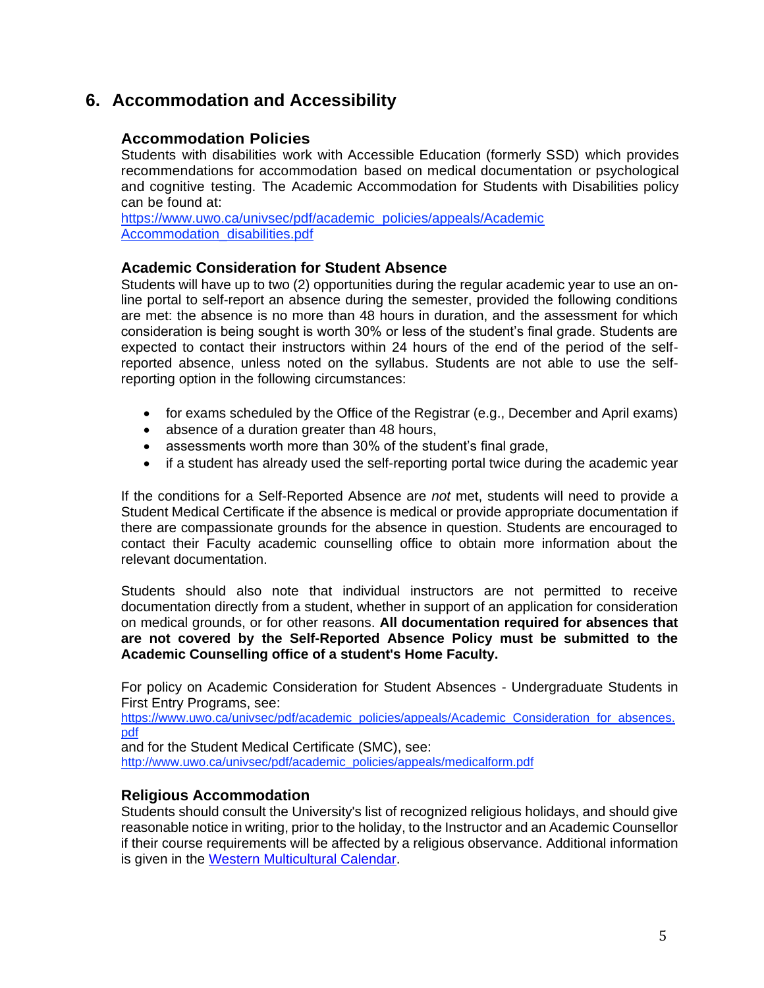### **6. Accommodation and Accessibility**

### **Accommodation Policies**

Students with disabilities work with Accessible Education (formerly SSD) which provides recommendations for accommodation based on medical documentation or psychological and cognitive testing. The Academic Accommodation for Students with Disabilities policy can be found at:

[https://www.uwo.ca/univsec/pdf/academic\\_policies/appeals/Academic](https://www.uwo.ca/univsec/pdf/academic_policies/appeals/Academic%20Accommodation_disabilities.pdf)  Accommodation disabilities.pdf

#### **Academic Consideration for Student Absence**

Students will have up to two (2) opportunities during the regular academic year to use an online portal to self-report an absence during the semester, provided the following conditions are met: the absence is no more than 48 hours in duration, and the assessment for which consideration is being sought is worth 30% or less of the student's final grade. Students are expected to contact their instructors within 24 hours of the end of the period of the selfreported absence, unless noted on the syllabus. Students are not able to use the selfreporting option in the following circumstances:

- for exams scheduled by the Office of the Registrar (e.g., December and April exams)
- absence of a duration greater than 48 hours,
- assessments worth more than 30% of the student's final grade,
- if a student has already used the self-reporting portal twice during the academic year

If the conditions for a Self-Reported Absence are *not* met, students will need to provide a Student Medical Certificate if the absence is medical or provide appropriate documentation if there are compassionate grounds for the absence in question. Students are encouraged to contact their Faculty academic counselling office to obtain more information about the relevant documentation.

Students should also note that individual instructors are not permitted to receive documentation directly from a student, whether in support of an application for consideration on medical grounds, or for other reasons. **All documentation required for absences that are not covered by the Self-Reported Absence Policy must be submitted to the Academic Counselling office of a student's Home Faculty.**

For policy on Academic Consideration for Student Absences - Undergraduate Students in First Entry Programs, see:

[https://www.uwo.ca/univsec/pdf/academic\\_policies/appeals/Academic\\_Consideration\\_for\\_absences.](https://www.uwo.ca/univsec/pdf/academic_policies/appeals/Academic_Consideration_for_absences.pdf) [pdf](https://www.uwo.ca/univsec/pdf/academic_policies/appeals/Academic_Consideration_for_absences.pdf)

and for the Student Medical Certificate (SMC), see: [http://www.uwo.ca/univsec/pdf/academic\\_policies/appeals/medicalform.pdf](http://www.uwo.ca/univsec/pdf/academic_policies/appeals/medicalform.pdf) 

#### **Religious Accommodation**

Students should consult the University's list of recognized religious holidays, and should give reasonable notice in writing, prior to the holiday, to the Instructor and an Academic Counsellor if their course requirements will be affected by a religious observance. Additional information is given in the [Western Multicultural Calendar.](https://multiculturalcalendar.com/ecal/index.php?s=c-univwo)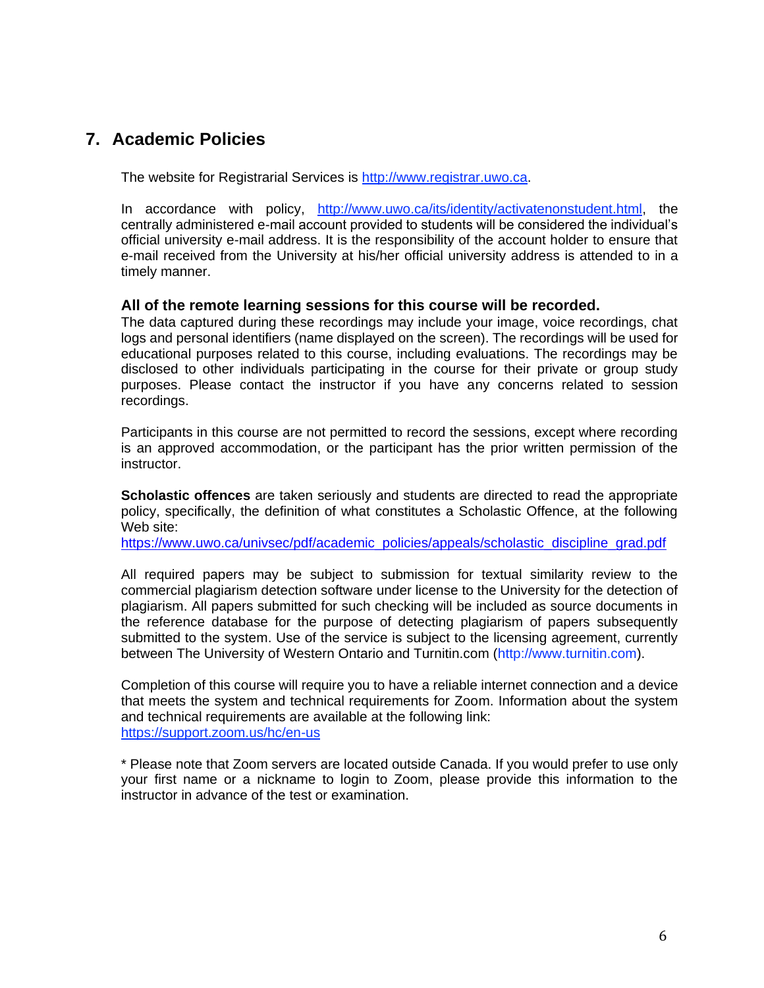## **7. Academic Policies**

The website for Registrarial Services is [http://www.registrar.uwo.ca.](http://www.registrar.uwo.ca/)

In accordance with policy, [http://www.uwo.ca/its/identity/activatenonstudent.html,](http://www.uwo.ca/its/identity/activatenonstudent.html) the centrally administered e-mail account provided to students will be considered the individual's official university e-mail address. It is the responsibility of the account holder to ensure that e-mail received from the University at his/her official university address is attended to in a timely manner.

### **All of the remote learning sessions for this course will be recorded.**

The data captured during these recordings may include your image, voice recordings, chat logs and personal identifiers (name displayed on the screen). The recordings will be used for educational purposes related to this course, including evaluations. The recordings may be disclosed to other individuals participating in the course for their private or group study purposes. Please contact the instructor if you have any concerns related to session recordings.

Participants in this course are not permitted to record the sessions, except where recording is an approved accommodation, or the participant has the prior written permission of the instructor.

**Scholastic offences** are taken seriously and students are directed to read the appropriate policy, specifically, the definition of what constitutes a Scholastic Offence, at the following Web site:

[https://www.uwo.ca/univsec/pdf/academic\\_policies/appeals/scholastic\\_discipline\\_grad.pdf](https://www.uwo.ca/univsec/pdf/academic_policies/appeals/scholastic_discipline_grad.pdf)

All required papers may be subject to submission for textual similarity review to the commercial plagiarism detection software under license to the University for the detection of plagiarism. All papers submitted for such checking will be included as source documents in the reference database for the purpose of detecting plagiarism of papers subsequently submitted to the system. Use of the service is subject to the licensing agreement, currently between The University of Western Ontario and Turnitin.com (http://www.turnitin.com).

Completion of this course will require you to have a reliable internet connection and a device that meets the system and technical requirements for Zoom. Information about the system and technical requirements are available at the following link: <https://support.zoom.us/hc/en-us>

\* Please note that Zoom servers are located outside Canada. If you would prefer to use only your first name or a nickname to login to Zoom, please provide this information to the instructor in advance of the test or examination.